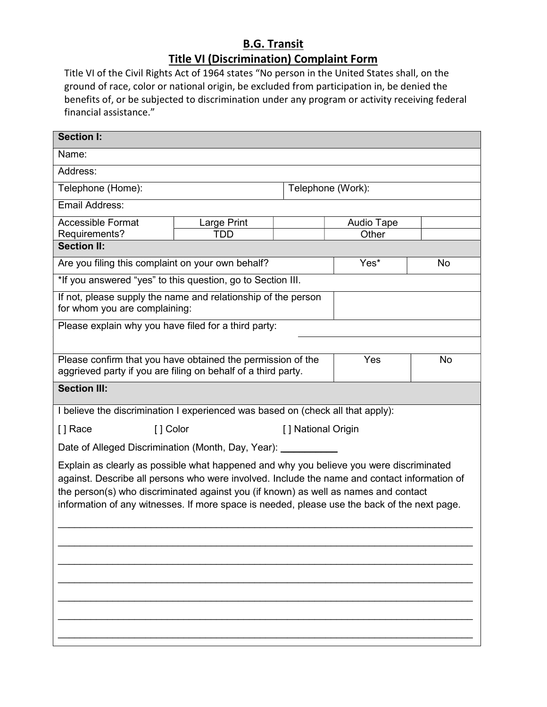## B.G. Transit Title VI (Discrimination) Complaint Form

Title VI of the Civil Rights Act of 1964 states "No person in the United States shall, on the ground of race, color or national origin, be excluded from participation in, be denied the benefits of, or be subjected to discrimination under any program or activity receiving federal financial assistance."

| <b>Section I:</b>                                                                                                                                                                                                                                                                                                                                                              |                   |                    |            |    |  |  |
|--------------------------------------------------------------------------------------------------------------------------------------------------------------------------------------------------------------------------------------------------------------------------------------------------------------------------------------------------------------------------------|-------------------|--------------------|------------|----|--|--|
| Name:                                                                                                                                                                                                                                                                                                                                                                          |                   |                    |            |    |  |  |
| Address:                                                                                                                                                                                                                                                                                                                                                                       |                   |                    |            |    |  |  |
| Telephone (Home):                                                                                                                                                                                                                                                                                                                                                              | Telephone (Work): |                    |            |    |  |  |
| Email Address:                                                                                                                                                                                                                                                                                                                                                                 |                   |                    |            |    |  |  |
| <b>Accessible Format</b>                                                                                                                                                                                                                                                                                                                                                       | Large Print       |                    | Audio Tape |    |  |  |
| Requirements?<br><b>Section II:</b>                                                                                                                                                                                                                                                                                                                                            | TDD               |                    | Other      |    |  |  |
|                                                                                                                                                                                                                                                                                                                                                                                |                   |                    |            |    |  |  |
| Are you filing this complaint on your own behalf?                                                                                                                                                                                                                                                                                                                              |                   |                    | Yes*       | No |  |  |
| *If you answered "yes" to this question, go to Section III.                                                                                                                                                                                                                                                                                                                    |                   |                    |            |    |  |  |
| If not, please supply the name and relationship of the person<br>for whom you are complaining:                                                                                                                                                                                                                                                                                 |                   |                    |            |    |  |  |
| Please explain why you have filed for a third party:                                                                                                                                                                                                                                                                                                                           |                   |                    |            |    |  |  |
|                                                                                                                                                                                                                                                                                                                                                                                |                   |                    |            |    |  |  |
| Please confirm that you have obtained the permission of the<br>aggrieved party if you are filing on behalf of a third party.                                                                                                                                                                                                                                                   |                   |                    | Yes        | No |  |  |
| <b>Section III:</b>                                                                                                                                                                                                                                                                                                                                                            |                   |                    |            |    |  |  |
| I believe the discrimination I experienced was based on (check all that apply):                                                                                                                                                                                                                                                                                                |                   |                    |            |    |  |  |
| [ ] Color<br>[ ] Race                                                                                                                                                                                                                                                                                                                                                          |                   | [] National Origin |            |    |  |  |
| Date of Alleged Discrimination (Month, Day, Year): ______                                                                                                                                                                                                                                                                                                                      |                   |                    |            |    |  |  |
| Explain as clearly as possible what happened and why you believe you were discriminated<br>against. Describe all persons who were involved. Include the name and contact information of<br>the person(s) who discriminated against you (if known) as well as names and contact<br>information of any witnesses. If more space is needed, please use the back of the next page. |                   |                    |            |    |  |  |
|                                                                                                                                                                                                                                                                                                                                                                                |                   |                    |            |    |  |  |
|                                                                                                                                                                                                                                                                                                                                                                                |                   |                    |            |    |  |  |
|                                                                                                                                                                                                                                                                                                                                                                                |                   |                    |            |    |  |  |
|                                                                                                                                                                                                                                                                                                                                                                                |                   |                    |            |    |  |  |
|                                                                                                                                                                                                                                                                                                                                                                                |                   |                    |            |    |  |  |
|                                                                                                                                                                                                                                                                                                                                                                                |                   |                    |            |    |  |  |
|                                                                                                                                                                                                                                                                                                                                                                                |                   |                    |            |    |  |  |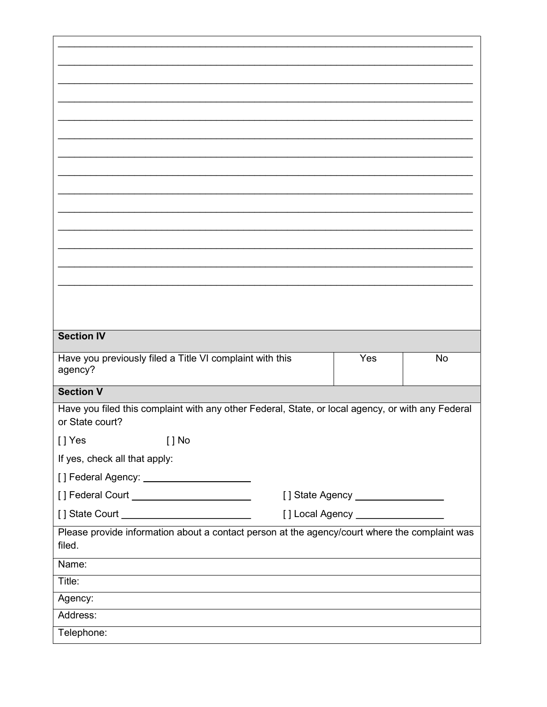| <b>Section IV</b>                                                                                                    |                                    |    |
|----------------------------------------------------------------------------------------------------------------------|------------------------------------|----|
|                                                                                                                      |                                    |    |
| Have you previously filed a Title VI complaint with this<br>agency?                                                  | Yes                                | No |
| <b>Section V</b>                                                                                                     |                                    |    |
| Have you filed this complaint with any other Federal, State, or local agency, or with any Federal<br>or State court? |                                    |    |
|                                                                                                                      |                                    |    |
| [] Yes<br>$[]$ No<br>If yes, check all that apply:                                                                   |                                    |    |
|                                                                                                                      |                                    |    |
| [] Federal Agency: ________________________<br>[] Federal Court __________________________                           | [] State Agency _________________  |    |
|                                                                                                                      | [] Local Agency __________________ |    |
| Please provide information about a contact person at the agency/court where the complaint was<br>filed.              |                                    |    |
| Name:                                                                                                                |                                    |    |
| Title:                                                                                                               |                                    |    |
| Agency:                                                                                                              |                                    |    |
| Address:                                                                                                             |                                    |    |